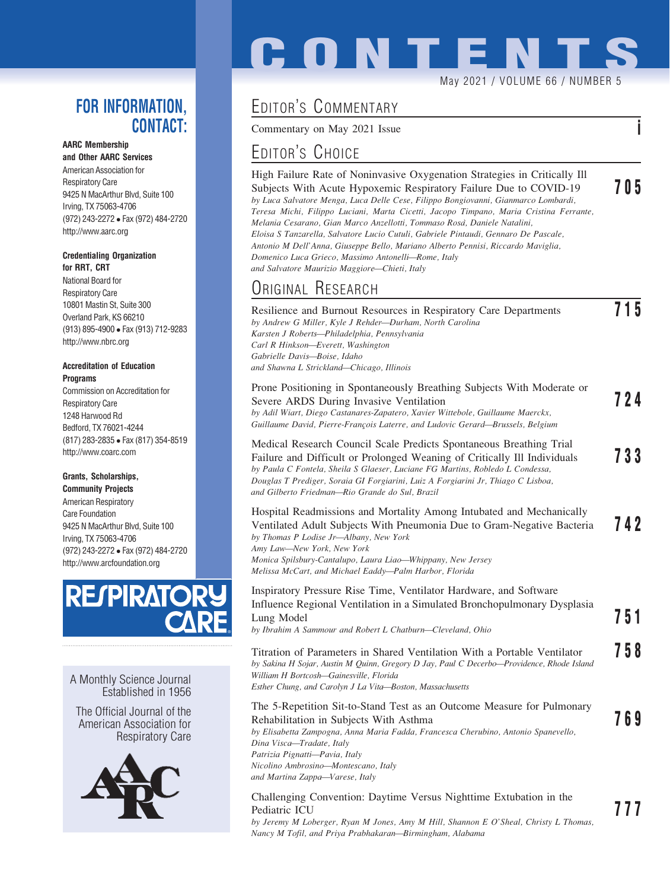### FOR INFORMATION, CONTACT:

#### AARC Membership

and Other AARC Services American Association for Respiratory Care 9425 N MacArthur Blvd, Suite 100 Irving, TX 75063-4706 (972) 243-2272 Fax (972) 484-2720 http://www.aarc.org

#### Credentialing Organization for RRT, CRT

National Board for Respiratory Care 10801 Mastin St, Suite 300 Overland Park, KS 66210 (913) 895-4900 Fax (913) 712-9283 http://www.nbrc.org

#### Accreditation of Education Programs

Commission on Accreditation for Respiratory Care 1248 Harwood Rd Bedford, TX 76021-4244 (817) 283-2835 Fax (817) 354-8519 http://www.coarc.com

#### Grants, Scholarships,

Community Projects American Respiratory Care Foundation 9425 N MacArthur Blvd, Suite 100 Irving, TX 75063-4706 (972) 243-2272 Fax (972) 484-2720 http://www.arcfoundation.org



A Monthly Science Journal Established in 1956

The Official Journal of the American Association for Respiratory Care



# **CONTENT**

May 2021 / VOLUME 66 / NUMBER 5

## EDITOR'S COMMENTARY

Commentary on May 2021 Issue

## EDITOR'S CHOICE

| High Failure Rate of Noninvasive Oxygenation Strategies in Critically Ill              |     |
|----------------------------------------------------------------------------------------|-----|
| Subjects With Acute Hypoxemic Respiratory Failure Due to COVID-19                      | 705 |
| by Luca Salvatore Menga, Luca Delle Cese, Filippo Bongiovanni, Gianmarco Lombardi,     |     |
| Teresa Michi, Filippo Luciani, Marta Cicetti, Jacopo Timpano, Maria Cristina Ferrante, |     |
| Melania Cesarano, Gian Marco Anzellotti, Tommaso Rosà, Daniele Natalini,               |     |
| Eloisa S Tanzarella, Salvatore Lucio Cutuli, Gabriele Pintaudi, Gennaro De Pascale,    |     |
| Antonio M Dell'Anna, Giuseppe Bello, Mariano Alberto Pennisi, Riccardo Maviglia,       |     |
| Domenico Luca Grieco, Massimo Antonelli-Rome, Italy                                    |     |
| and Salvatore Maurizio Maggiore—Chieti, Italy                                          |     |
|                                                                                        |     |

## ORIGINAL RESEARCH

| Resilience and Burnout Resources in Respiratory Care Departments               |     |
|--------------------------------------------------------------------------------|-----|
| by Andrew G Miller, Kyle J Rehder-Durham, North Carolina                       |     |
| Karsten J Roberts-Philadelphia, Pennsylvania                                   |     |
| Carl R Hinkson-Everett, Washington                                             |     |
| Gabrielle Davis-Boise, Idaho                                                   |     |
| and Shawna L Strickland—Chicago, Illinois                                      |     |
| Prone Positioning in Spontaneously Breathing Subjects With Moderate or         |     |
| Severe ARDS During Invasive Ventilation                                        | 724 |
| by Adil Wiart, Diego Castanares-Zapatero, Xavier Wittebole, Guillaume Maerckx, |     |

by Adil Wiart, Diego Castanares-Zapatero, Xavier Wittebole, Guillaume Maerckx, Guillaume David, Pierre-Francois Laterre, and Ludovic Gerard-Brussels, Belgium

| Medical Research Council Scale Predicts Spontaneous Breathing Trial              |     |
|----------------------------------------------------------------------------------|-----|
| Failure and Difficult or Prolonged Weaning of Critically Ill Individuals         | 733 |
| by Paula C Fontela, Sheila S Glaeser, Luciane FG Martins, Robledo L Condessa,    |     |
| Douglas T Prediger, Soraia GI Forgiarini, Luiz A Forgiarini Jr, Thiago C Lisboa, |     |
| and Gilberto Friedman—Rio Grande do Sul, Brazil                                  |     |

#### Hospital Readmissions and Mortality Among Intubated and Mechanically Ventilated Adult Subjects With Pneumonia Due to Gram-Negative Bacteria 742 by Thomas P Lodise Jr—Albany, New York Amy Law—New York, New York Monica Spilsbury-Cantalupo, Laura Liao—Whippany, New Jersey Melissa McCart, and Michael Eaddy—Palm Harbor, Florida

### Inspiratory Pressure Rise Time, Ventilator Hardware, and Software Influence Regional Ventilation in a Simulated Bronchopulmonary Dysplasia Lung Model **751**<br>by Ibrahim A Sammour and Robert L Chatburn—Cleveland, Ohio **751**

Titration of Parameters in Shared Ventilation With a Portable Ventilator 758 by Sakina H Sojar, Austin M Quinn, Gregory D Jay, Paul C Decerbo—Providence, Rhode Island William H Bortcosh—Gainesville, Florida Esther Chung, and Carolyn J La Vita—Boston, Massachusetts

| The 5-Repetition Sit-to-Stand Test as an Outcome Measure for Pulmonary             |     |
|------------------------------------------------------------------------------------|-----|
| Rehabilitation in Subjects With Asthma                                             | 769 |
| by Elisabetta Zampogna, Anna Maria Fadda, Francesca Cherubino, Antonio Spanevello, |     |
| Dina Visca-Tradate, Italy                                                          |     |
| Patrizia Pignatti-Pavia, Italy                                                     |     |
| Nicolino Ambrosino-Montescano, Italy                                               |     |
| and Martina Zappa—Varese, Italy                                                    |     |
|                                                                                    |     |

#### Challenging Convention: Daytime Versus Nighttime Extubation in the Pediatric ICU <br>by Jeremy M Loberger, Ryan M Jones, Amy M Hill, Shannon E O'Sheal, Christy L Thomas, Nancy M Tofil, and Priya Prabhakaran—Birmingham, Alabama

 $\overline{\phantom{a}}$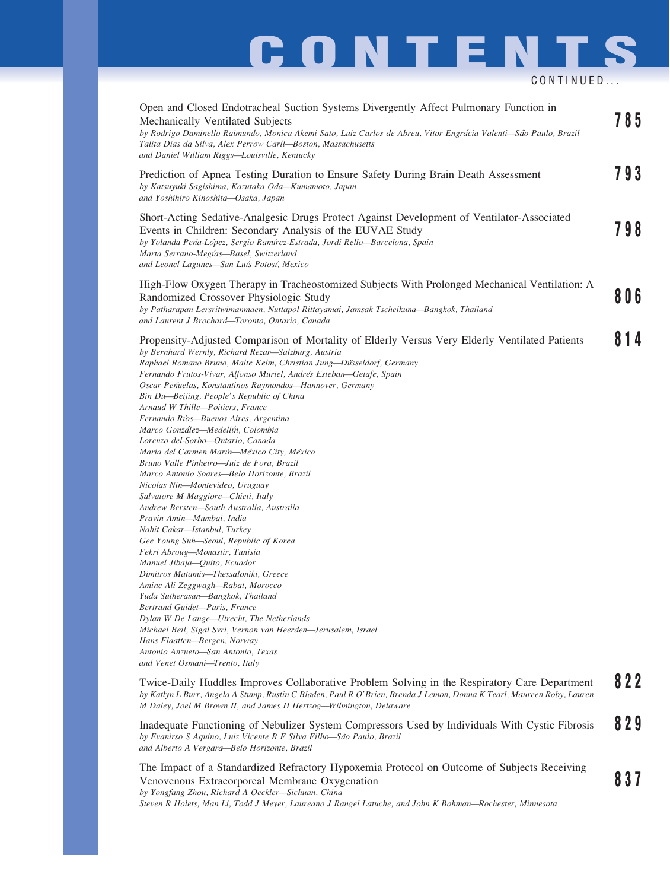## **CONTENTS** CONTINUED...

| Open and Closed Endotracheal Suction Systems Divergently Affect Pulmonary Function in<br>Mechanically Ventilated Subjects<br>by Rodrigo Daminello Raimundo, Monica Akemi Sato, Luiz Carlos de Abreu, Vitor Engrácia Valenti-São Paulo, Brazil<br>Talita Dias da Silva, Alex Perrow Carll-Boston, Massachusetts<br>and Daniel William Riggs-Louisville, Kentucky                                                                                                                                                                                                                                                                                                                                                                                                                                                                                                                                                                                                                                                                                                                                                                                                                                                                                                                                                                                                                           | 785 |
|-------------------------------------------------------------------------------------------------------------------------------------------------------------------------------------------------------------------------------------------------------------------------------------------------------------------------------------------------------------------------------------------------------------------------------------------------------------------------------------------------------------------------------------------------------------------------------------------------------------------------------------------------------------------------------------------------------------------------------------------------------------------------------------------------------------------------------------------------------------------------------------------------------------------------------------------------------------------------------------------------------------------------------------------------------------------------------------------------------------------------------------------------------------------------------------------------------------------------------------------------------------------------------------------------------------------------------------------------------------------------------------------|-----|
| Prediction of Apnea Testing Duration to Ensure Safety During Brain Death Assessment<br>by Katsuyuki Sagishima, Kazutaka Oda-Kumamoto, Japan<br>and Yoshihiro Kinoshita-Osaka, Japan                                                                                                                                                                                                                                                                                                                                                                                                                                                                                                                                                                                                                                                                                                                                                                                                                                                                                                                                                                                                                                                                                                                                                                                                       | 793 |
| Short-Acting Sedative-Analgesic Drugs Protect Against Development of Ventilator-Associated<br>Events in Children: Secondary Analysis of the EUVAE Study<br>by Yolanda Peña-López, Sergio Ramírez-Estrada, Jordi Rello-Barcelona, Spain<br>Marta Serrano-Megías-Basel, Switzerland<br>and Leonel Lagunes-San Luís Potosí, Mexico                                                                                                                                                                                                                                                                                                                                                                                                                                                                                                                                                                                                                                                                                                                                                                                                                                                                                                                                                                                                                                                           | 798 |
| High-Flow Oxygen Therapy in Tracheostomized Subjects With Prolonged Mechanical Ventilation: A<br>Randomized Crossover Physiologic Study<br>by Patharapan Lersritwimanmaen, Nuttapol Rittayamai, Jamsak Tscheikuna-Bangkok, Thailand<br>and Laurent J Brochard-Toronto, Ontario, Canada                                                                                                                                                                                                                                                                                                                                                                                                                                                                                                                                                                                                                                                                                                                                                                                                                                                                                                                                                                                                                                                                                                    | 806 |
| Propensity-Adjusted Comparison of Mortality of Elderly Versus Very Elderly Ventilated Patients<br>by Bernhard Wernly, Richard Rezar-Salzburg, Austria<br>Raphael Romano Bruno, Malte Kelm, Christian Jung-Düsseldorf, Germany<br>Fernando Frutos-Vivar, Alfonso Muriel, Andrés Esteban-Getafe, Spain<br>Oscar Peñuelas, Konstantinos Raymondos-Hannover, Germany<br>Bin Du-Beijing, People's Republic of China<br>Arnaud W Thille-Poitiers, France<br>Fernando Ríos—Buenos Aires, Argentina<br>Marco González-Medellín, Colombia<br>Lorenzo del-Sorbo-Ontario, Canada<br>Maria del Carmen Marín-México City, México<br>Bruno Valle Pinheiro-Juiz de Fora, Brazil<br>Marco Antonio Soares-Belo Horizonte, Brazil<br>Nicolas Nin-Montevideo, Uruguay<br>Salvatore M Maggiore—Chieti, Italy<br>Andrew Bersten—South Australia, Australia<br>Pravin Amin-Mumbai, India<br>Nahit Cakar-Istanbul, Turkey<br>Gee Young Suh-Seoul, Republic of Korea<br>Fekri Abroug-Monastir, Tunisia<br>Manuel Jibaja-Quito, Ecuador<br>Dimitros Matamis-Thessaloniki, Greece<br>Amine Ali Zeggwagh—Rabat, Morocco<br>Yuda Sutherasan-Bangkok, Thailand<br>Bertrand Guidet-Paris, France<br>Dylan W De Lange-Utrecht, The Netherlands<br>Michael Beil, Sigal Svri, Vernon van Heerden-Jerusalem, Israel<br>Hans Flaatten-Bergen, Norway<br>Antonio Anzueto-San Antonio, Texas<br>and Venet Osmani-Trento, Italy | 814 |
| Twice-Daily Huddles Improves Collaborative Problem Solving in the Respiratory Care Department<br>by Katlyn L Burr, Angela A Stump, Rustin C Bladen, Paul R O'Brien, Brenda J Lemon, Donna K Tearl, Maureen Roby, Lauren<br>M Daley, Joel M Brown II, and James H Hertzog—Wilmington, Delaware                                                                                                                                                                                                                                                                                                                                                                                                                                                                                                                                                                                                                                                                                                                                                                                                                                                                                                                                                                                                                                                                                             | 822 |
| Inadequate Functioning of Nebulizer System Compressors Used by Individuals With Cystic Fibrosis<br>by Evanirso S Aquino, Luiz Vicente R F Silva Filho-São Paulo, Brazil<br>and Alberto A Vergara-Belo Horizonte, Brazil                                                                                                                                                                                                                                                                                                                                                                                                                                                                                                                                                                                                                                                                                                                                                                                                                                                                                                                                                                                                                                                                                                                                                                   | 829 |
| The Impact of a Standardized Refractory Hypoxemia Protocol on Outcome of Subjects Receiving<br>Venovenous Extracorporeal Membrane Oxygenation                                                                                                                                                                                                                                                                                                                                                                                                                                                                                                                                                                                                                                                                                                                                                                                                                                                                                                                                                                                                                                                                                                                                                                                                                                             | 837 |

by Yongfang Zhou, Richard A Oeckler—Sichuan, China Steven R Holets, Man Li, Todd J Meyer, Laureano J Rangel Latuche, and John K Bohman—Rochester, Minnesota